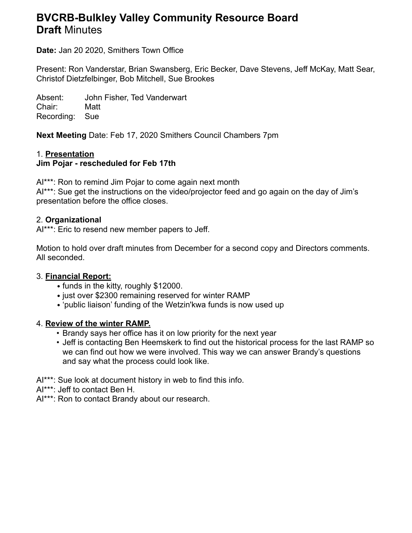# **BVCRB-Bulkley Valley Community Resource Board Draft** Minutes

**Date:** Jan 20 2020, Smithers Town Office

Present: Ron Vanderstar, Brian Swansberg, Eric Becker, Dave Stevens, Jeff McKay, Matt Sear, Christof Dietzfelbinger, Bob Mitchell, Sue Brookes

Absent: John Fisher, Ted Vanderwart Chair: Matt Recording: Sue

**Next Meeting** Date: Feb 17, 2020 Smithers Council Chambers 7pm

# 1. **Presentation**

# **Jim Pojar - rescheduled for Feb 17th**

AI\*\*\*: Ron to remind Jim Pojar to come again next month AI\*\*\*: Sue get the instructions on the video/projector feed and go again on the day of Jim's presentation before the office closes.

#### 2. **Organizational**

AI\*\*\*: Eric to resend new member papers to Jeff.

Motion to hold over draft minutes from December for a second copy and Directors comments. All seconded.

#### 3. **Financial Report:**

- funds in the kitty, roughly \$12000.
- just over \$2300 remaining reserved for winter RAMP
- 'public liaison' funding of the Wetzin'kwa funds is now used up

#### 4. **Review of the winter RAMP.**

- Brandy says her office has it on low priority for the next year
- Jeff is contacting Ben Heemskerk to find out the historical process for the last RAMP so we can find out how we were involved. This way we can answer Brandy's questions and say what the process could look like.

AI\*\*\*: Sue look at document history in web to find this info.

AI\*\*\*: Jeff to contact Ben H.

AI\*\*\*: Ron to contact Brandy about our research.